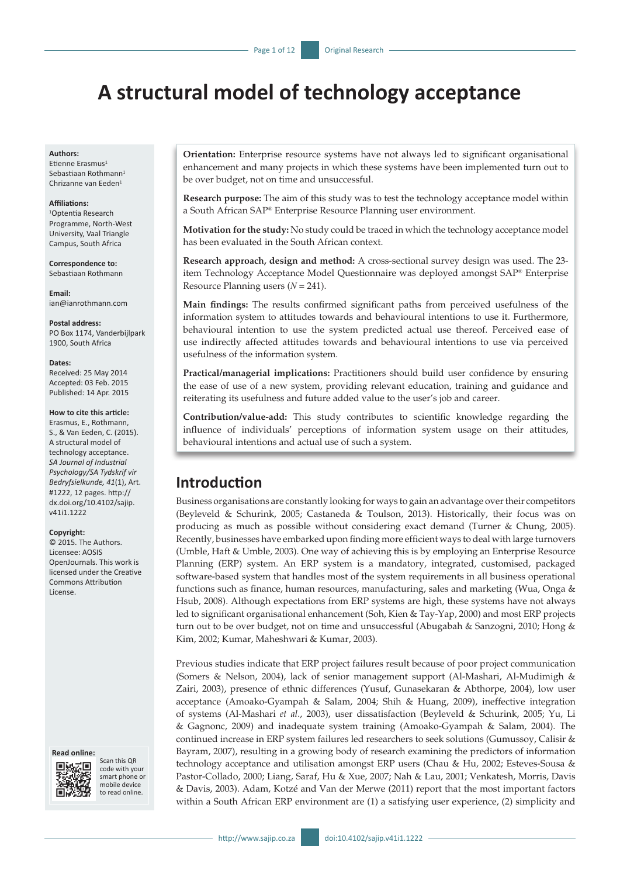# **A structural model of technology acceptance**

#### **Authors:**

Etienne Erasmus<sup>1</sup> Sebastiaan Rothmanni Chrizanne van Eeden<sup>1</sup>

#### **Affiliations:**

1 Optentia Research Programme, North-West University, Vaal Triangle Campus, South Africa

**Correspondence to:** Sebastiaan Rothmann

**Email:** [ian@ianrothmann.com](mailto:ian@ianrothmann.com)

**Postal address:** PO Box 1174, Vanderbijlpark 1900, South Africa

#### **Dates:**

Received: 25 May 2014 Accepted: 03 Feb. 2015 Published: 14 Apr. 2015

#### **How to cite this article:**

Erasmus, E., Rothmann, S., & Van Eeden, C. (2015). A structural model of technology acceptance. *SA Journal of Industrial Psychology/SA Tydskrif vir Bedryfsielkunde, 41*(1), Art. #1222, 12 pages. [http://](http://dx.doi.org/10.4102/sajip.v41i1.1222) [dx.doi.org/10.4102/sajip.](http://dx.doi.org/10.4102/sajip.v41i1.1222) [v41i1.1222](http://dx.doi.org/10.4102/sajip.v41i1.1222)

#### **Copyright:**

© 2015. The Authors. Licensee: AOSIS OpenJournals. This work is licensed under the Creative Commons Attribution License.

#### **Read online:**



Scan this QR code with your smart phone or mobile device to read online.

**Orientation:** Enterprise resource systems have not always led to significant organisational enhancement and many projects in which these systems have been implemented turn out to be over budget, not on time and unsuccessful.

**Research purpose:** The aim of this study was to test the technology acceptance model within a South African SAP® Enterprise Resource Planning user environment.

**Motivation for the study:** No study could be traced in which the technology acceptance model has been evaluated in the South African context.

**Research approach, design and method:** A cross-sectional survey design was used. The 23 item Technology Acceptance Model Questionnaire was deployed amongst SAP® Enterprise Resource Planning users (*N* = 241).

**Main findings:** The results confirmed significant paths from perceived usefulness of the information system to attitudes towards and behavioural intentions to use it. Furthermore, behavioural intention to use the system predicted actual use thereof. Perceived ease of use indirectly affected attitudes towards and behavioural intentions to use via perceived usefulness of the information system.

**Practical/managerial implications:** Practitioners should build user confidence by ensuring the ease of use of a new system, providing relevant education, training and guidance and reiterating its usefulness and future added value to the user's job and career.

**Contribution/value-add:** This study contributes to scientific knowledge regarding the influence of individuals' perceptions of information system usage on their attitudes, behavioural intentions and actual use of such a system.

## **Introduction**

Business organisations are constantly looking for ways to gain an advantage over their competitors (Beyleveld & Schurink, 2005; Castaneda & Toulson, 2013). Historically, their focus was on producing as much as possible without considering exact demand (Turner & Chung, 2005). Recently, businesses have embarked upon finding more efficient ways to deal with large turnovers (Umble, Haft & Umble, 2003). One way of achieving this is by employing an Enterprise Resource Planning (ERP) system. An ERP system is a mandatory, integrated, customised, packaged software-based system that handles most of the system requirements in all business operational functions such as finance, human resources, manufacturing, sales and marketing (Wua, Onga & Hsub, 2008). Although expectations from ERP systems are high, these systems have not always led to significant organisational enhancement (Soh, Kien & Tay-Yap, 2000) and most ERP projects turn out to be over budget, not on time and unsuccessful (Abugabah & Sanzogni, 2010; Hong & Kim, 2002; Kumar, Maheshwari & Kumar, 2003).

Previous studies indicate that ERP project failures result because of poor project communication (Somers & Nelson, 2004), lack of senior management support (Al-Mashari, Al-Mudimigh & Zairi, 2003), presence of ethnic differences (Yusuf, Gunasekaran & Abthorpe, 2004), low user acceptance (Amoako-Gyampah & Salam, 2004; Shih & Huang, 2009), ineffective integration of systems (Al-Mashari *et al*., 2003), user dissatisfaction (Beyleveld & Schurink, 2005; Yu, Li & Gagnonc, 2009) and inadequate system training (Amoako-Gyampah & Salam, 2004). The continued increase in ERP system failures led researchers to seek solutions (Gumussoy, Calisir & Bayram, 2007), resulting in a growing body of research examining the predictors of information technology acceptance and utilisation amongst ERP users (Chau & Hu, 2002; Esteves-Sousa & Pastor-Collado, 2000; Liang, Saraf, Hu & Xue, 2007; Nah & Lau, 2001; Venkatesh, Morris, Davis & Davis, 2003). Adam, Kotzé and Van der Merwe (2011) report that the most important factors within a South African ERP environment are (1) a satisfying user experience, (2) simplicity and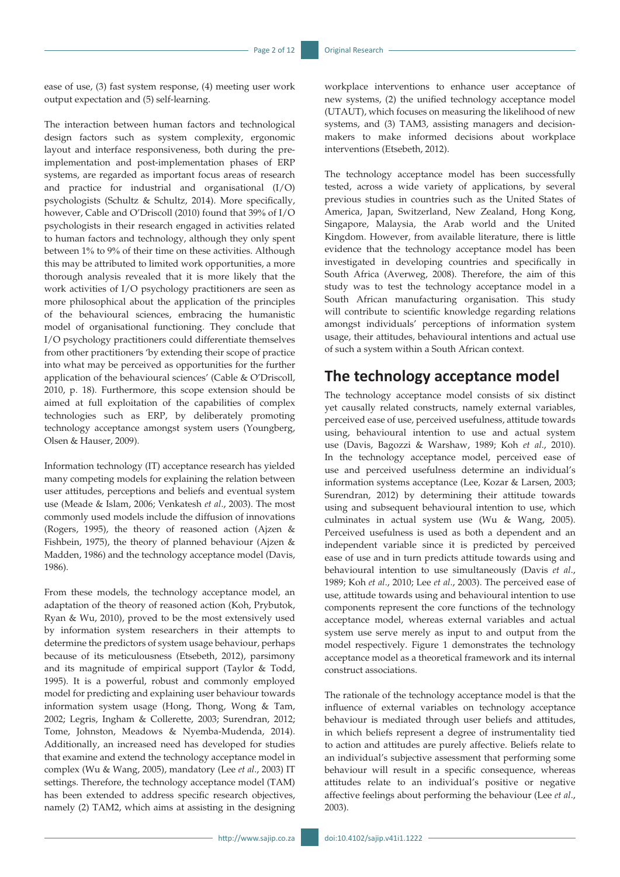ease of use, (3) fast system response, (4) meeting user work output expectation and (5) self-learning.

The interaction between human factors and technological design factors such as system complexity, ergonomic layout and interface responsiveness, both during the preimplementation and post-implementation phases of ERP systems, are regarded as important focus areas of research and practice for industrial and organisational (I/O) psychologists (Schultz & Schultz, 2014). More specifically, however, Cable and O'Driscoll (2010) found that 39% of I/O psychologists in their research engaged in activities related to human factors and technology, although they only spent between 1% to 9% of their time on these activities. Although this may be attributed to limited work opportunities, a more thorough analysis revealed that it is more likely that the work activities of I/O psychology practitioners are seen as more philosophical about the application of the principles of the behavioural sciences, embracing the humanistic model of organisational functioning. They conclude that I/O psychology practitioners could differentiate themselves from other practitioners 'by extending their scope of practice into what may be perceived as opportunities for the further application of the behavioural sciences' (Cable & O'Driscoll, 2010, p. 18). Furthermore, this scope extension should be aimed at full exploitation of the capabilities of complex technologies such as ERP, by deliberately promoting technology acceptance amongst system users (Youngberg, Olsen & Hauser, 2009).

Information technology (IT) acceptance research has yielded many competing models for explaining the relation between user attitudes, perceptions and beliefs and eventual system use (Meade & Islam, 2006; Venkatesh *et al*., 2003). The most commonly used models include the diffusion of innovations (Rogers, 1995), the theory of reasoned action (Ajzen & Fishbein, 1975), the theory of planned behaviour (Ajzen & Madden, 1986) and the technology acceptance model (Davis, 1986).

From these models, the technology acceptance model, an adaptation of the theory of reasoned action (Koh, Prybutok, Ryan & Wu, 2010), proved to be the most extensively used by information system researchers in their attempts to determine the predictors of system usage behaviour, perhaps because of its meticulousness (Etsebeth, 2012), parsimony and its magnitude of empirical support (Taylor & Todd, 1995). It is a powerful, robust and commonly employed model for predicting and explaining user behaviour towards information system usage (Hong, Thong, Wong & Tam, 2002; Legris, Ingham & Collerette, 2003; Surendran, 2012; Tome, Johnston, Meadows & Nyemba-Mudenda, 2014). Additionally, an increased need has developed for studies that examine and extend the technology acceptance model in complex (Wu & Wang, 2005), mandatory (Lee *et al*., 2003) IT settings. Therefore, the technology acceptance model (TAM) has been extended to address specific research objectives, namely (2) TAM2, which aims at assisting in the designing

workplace interventions to enhance user acceptance of new systems, (2) the unified technology acceptance model (UTAUT), which focuses on measuring the likelihood of new systems, and (3) TAM3, assisting managers and decisionmakers to make informed decisions about workplace interventions (Etsebeth, 2012).

The technology acceptance model has been successfully tested, across a wide variety of applications, by several previous studies in countries such as the United States of America, Japan, Switzerland, New Zealand, Hong Kong, Singapore, Malaysia, the Arab world and the United Kingdom. However, from available literature, there is little evidence that the technology acceptance model has been investigated in developing countries and specifically in South Africa (Averweg, 2008). Therefore, the aim of this study was to test the technology acceptance model in a South African manufacturing organisation. This study will contribute to scientific knowledge regarding relations amongst individuals' perceptions of information system usage, their attitudes, behavioural intentions and actual use of such a system within a South African context.

# **The technology acceptance model**

The technology acceptance model consists of six distinct yet causally related constructs, namely external variables, perceived ease of use, perceived usefulness, attitude towards using, behavioural intention to use and actual system use (Davis, Bagozzi & Warshaw, 1989; Koh *et al*., 2010). In the technology acceptance model, perceived ease of use and perceived usefulness determine an individual's information systems acceptance (Lee, Kozar & Larsen, 2003; Surendran, 2012) by determining their attitude towards using and subsequent behavioural intention to use, which culminates in actual system use (Wu & Wang, 2005). Perceived usefulness is used as both a dependent and an independent variable since it is predicted by perceived ease of use and in turn predicts attitude towards using and behavioural intention to use simultaneously (Davis *et al*., 1989; Koh *et al*., 2010; Lee *et al*., 2003). The perceived ease of use, attitude towards using and behavioural intention to use components represent the core functions of the technology acceptance model, whereas external variables and actual system use serve merely as input to and output from the model respectively. Figure 1 demonstrates the technology acceptance model as a theoretical framework and its internal construct associations.

The rationale of the technology acceptance model is that the influence of external variables on technology acceptance behaviour is mediated through user beliefs and attitudes, in which beliefs represent a degree of instrumentality tied to action and attitudes are purely affective. Beliefs relate to an individual's subjective assessment that performing some behaviour will result in a specific consequence, whereas attitudes relate to an individual's positive or negative affective feelings about performing the behaviour (Lee *et al*., 2003).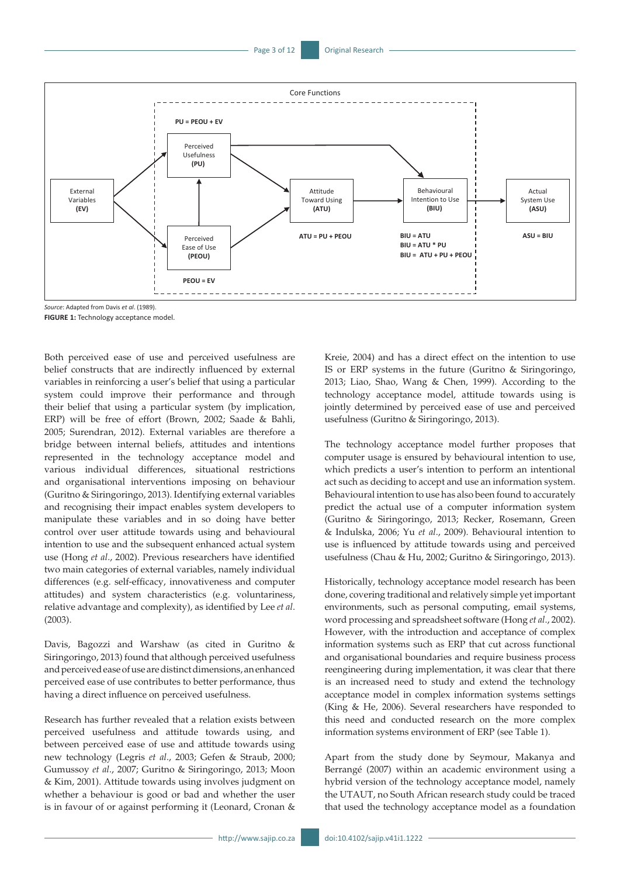

*Source*: Adapted from Davis *et al*. (1989).

**FIGURE 1:** Technology acceptance model.

Both perceived ease of use and perceived usefulness are belief constructs that are indirectly influenced by external variables in reinforcing a user's belief that using a particular system could improve their performance and through their belief that using a particular system (by implication, ERP) will be free of effort (Brown, 2002; Saade & Bahli, 2005; Surendran, 2012). External variables are therefore a bridge between internal beliefs, attitudes and intentions represented in the technology acceptance model and various individual differences, situational restrictions and organisational interventions imposing on behaviour (Guritno & Siringoringo, 2013). Identifying external variables and recognising their impact enables system developers to manipulate these variables and in so doing have better control over user attitude towards using and behavioural intention to use and the subsequent enhanced actual system use (Hong *et al*., 2002). Previous researchers have identified two main categories of external variables, namely individual differences (e.g. self-efficacy, innovativeness and computer attitudes) and system characteristics (e.g. voluntariness, relative advantage and complexity), as identified by Lee *et al*. (2003).

Davis, Bagozzi and Warshaw (as cited in Guritno & Siringoringo, 2013) found that although perceived usefulness and perceived ease of use are distinct dimensions, an enhanced perceived ease of use contributes to better performance, thus having a direct influence on perceived usefulness.

Research has further revealed that a relation exists between perceived usefulness and attitude towards using, and between perceived ease of use and attitude towards using new technology (Legris *et al*., 2003; Gefen & Straub, 2000; Gumussoy *et al*., 2007; Guritno & Siringoringo, 2013; Moon & Kim, 2001). Attitude towards using involves judgment on whether a behaviour is good or bad and whether the user is in favour of or against performing it (Leonard, Cronan &

Kreie, 2004) and has a direct effect on the intention to use IS or ERP systems in the future (Guritno & Siringoringo, 2013; Liao, Shao, Wang & Chen, 1999). According to the technology acceptance model, attitude towards using is jointly determined by perceived ease of use and perceived usefulness (Guritno & Siringoringo, 2013).

The technology acceptance model further proposes that computer usage is ensured by behavioural intention to use, which predicts a user's intention to perform an intentional act such as deciding to accept and use an information system. Behavioural intention to use has also been found to accurately predict the actual use of a computer information system (Guritno & Siringoringo, 2013; Recker, Rosemann, Green & Indulska, 2006; Yu *et al*., 2009). Behavioural intention to use is influenced by attitude towards using and perceived usefulness (Chau & Hu, 2002; Guritno & Siringoringo, 2013).

Historically, technology acceptance model research has been done, covering traditional and relatively simple yet important environments, such as personal computing, email systems, word processing and spreadsheet software (Hong *et al*., 2002). However, with the introduction and acceptance of complex information systems such as ERP that cut across functional and organisational boundaries and require business process reengineering during implementation, it was clear that there is an increased need to study and extend the technology acceptance model in complex information systems settings (King & He, 2006). Several researchers have responded to this need and conducted research on the more complex information systems environment of ERP (see Table 1).

Apart from the study done by Seymour, Makanya and Berrangé (2007) within an academic environment using a hybrid version of the technology acceptance model, namely the UTAUT, no South African research study could be traced that used the technology acceptance model as a foundation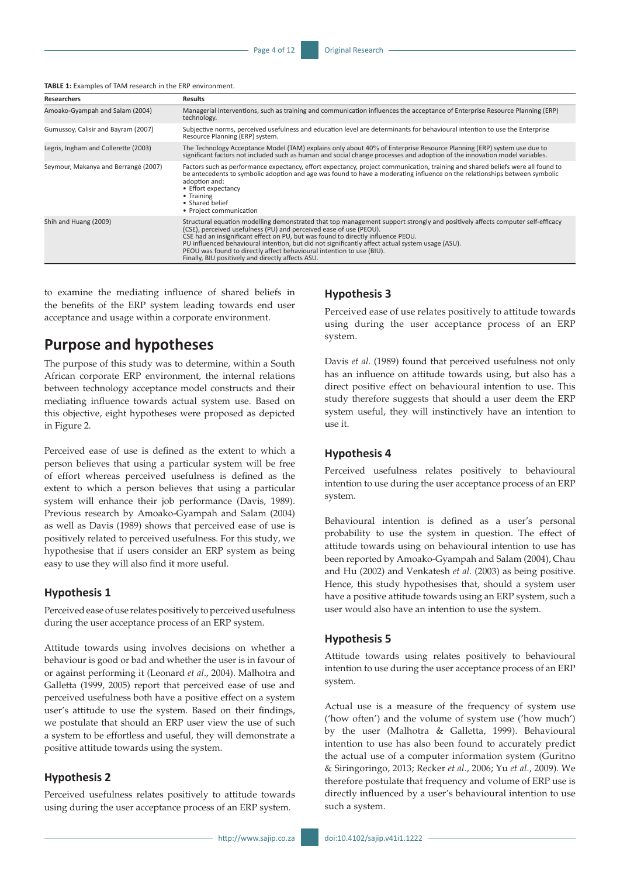**TABLE 1:** Examples of TAM research in the ERP environment.

| <b>Researchers</b>                   | <b>Results</b>                                                                                                                                                                                                                                                                                                                                                                                                                                                                                                            |
|--------------------------------------|---------------------------------------------------------------------------------------------------------------------------------------------------------------------------------------------------------------------------------------------------------------------------------------------------------------------------------------------------------------------------------------------------------------------------------------------------------------------------------------------------------------------------|
| Amoako-Gyampah and Salam (2004)      | Managerial interventions, such as training and communication influences the acceptance of Enterprise Resource Planning (ERP)<br>technology.                                                                                                                                                                                                                                                                                                                                                                               |
| Gumussoy, Calisir and Bayram (2007)  | Subjective norms, perceived usefulness and education level are determinants for behavioural intention to use the Enterprise<br>Resource Planning (ERP) system.                                                                                                                                                                                                                                                                                                                                                            |
| Legris, Ingham and Collerette (2003) | The Technology Acceptance Model (TAM) explains only about 40% of Enterprise Resource Planning (ERP) system use due to<br>significant factors not included such as human and social change processes and adoption of the innovation model variables.                                                                                                                                                                                                                                                                       |
| Seymour, Makanya and Berrangé (2007) | Factors such as performance expectancy, effort expectancy, project communication, training and shared beliefs were all found to<br>be antecedents to symbolic adoption and age was found to have a moderating influence on the relationships between symbolic<br>adoption and:<br>• Effort expectancy<br>• Training<br>• Shared belief<br>• Project communication                                                                                                                                                         |
| Shih and Huang (2009)                | Structural equation modelling demonstrated that top management support strongly and positively affects computer self-efficacy<br>(CSE), perceived usefulness (PU) and perceived ease of use (PEOU).<br>CSE had an insignificant effect on PU, but was found to directly influence PEOU.<br>PU influenced behavioural intention, but did not significantly affect actual system usage (ASU).<br>PEOU was found to directly affect behavioural intention to use (BIU).<br>Finally, BIU positively and directly affects ASU. |

to examine the mediating influence of shared beliefs in the benefits of the ERP system leading towards end user acceptance and usage within a corporate environment.

# **Purpose and hypotheses**

The purpose of this study was to determine, within a South African corporate ERP environment, the internal relations between technology acceptance model constructs and their mediating influence towards actual system use. Based on this objective, eight hypotheses were proposed as depicted in Figure 2.

Perceived ease of use is defined as the extent to which a person believes that using a particular system will be free of effort whereas perceived usefulness is defined as the extent to which a person believes that using a particular system will enhance their job performance (Davis, 1989). Previous research by Amoako-Gyampah and Salam (2004) as well as Davis (1989) shows that perceived ease of use is positively related to perceived usefulness. For this study, we hypothesise that if users consider an ERP system as being easy to use they will also find it more useful.

#### **Hypothesis 1**

Perceived ease of use relates positively to perceived usefulness during the user acceptance process of an ERP system.

Attitude towards using involves decisions on whether a behaviour is good or bad and whether the user is in favour of or against performing it (Leonard *et al*., 2004). Malhotra and Galletta (1999, 2005) report that perceived ease of use and perceived usefulness both have a positive effect on a system user's attitude to use the system. Based on their findings, we postulate that should an ERP user view the use of such a system to be effortless and useful, they will demonstrate a positive attitude towards using the system.

### **Hypothesis 2**

Perceived usefulness relates positively to attitude towards using during the user acceptance process of an ERP system.

### **Hypothesis 3**

Perceived ease of use relates positively to attitude towards using during the user acceptance process of an ERP system.

Davis *et al*. (1989) found that perceived usefulness not only has an influence on attitude towards using, but also has a direct positive effect on behavioural intention to use. This study therefore suggests that should a user deem the ERP system useful, they will instinctively have an intention to use it.

### **Hypothesis 4**

Perceived usefulness relates positively to behavioural intention to use during the user acceptance process of an ERP system.

Behavioural intention is defined as a user's personal probability to use the system in question. The effect of attitude towards using on behavioural intention to use has been reported by Amoako-Gyampah and Salam (2004), Chau and Hu (2002) and Venkatesh *et al*. (2003) as being positive. Hence, this study hypothesises that, should a system user have a positive attitude towards using an ERP system, such a user would also have an intention to use the system.

#### **Hypothesis 5**

Attitude towards using relates positively to behavioural intention to use during the user acceptance process of an ERP system.

Actual use is a measure of the frequency of system use ('how often') and the volume of system use ('how much') by the user (Malhotra & Galletta, 1999). Behavioural intention to use has also been found to accurately predict the actual use of a computer information system (Guritno & Siringoringo, 2013; Recker *et al*., 2006; Yu *et al*., 2009). We therefore postulate that frequency and volume of ERP use is directly influenced by a user's behavioural intention to use such a system.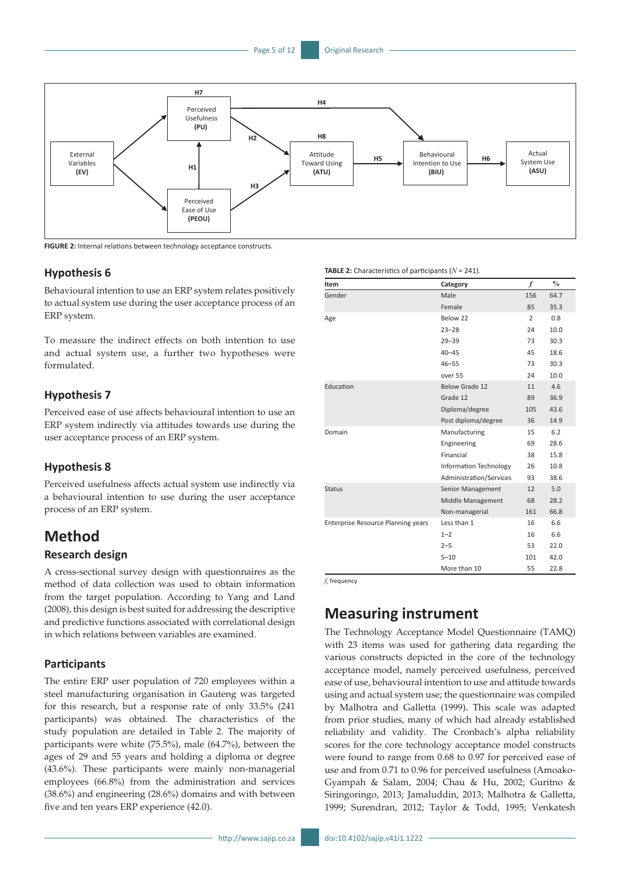

**FIGURE 2:** Internal relations between technology acceptance constructs.

### **Hypothesis 6**

Behavioural intention to use an ERP system relates positively to actual system use during the user acceptance process of an ERP system.

To measure the indirect effects on both intention to use and actual system use, a further two hypotheses were formulated.

### **Hypothesis 7**

Perceived ease of use affects behavioural intention to use an ERP system indirectly via attitudes towards use during the user acceptance process of an ERP system.

### **Hypothesis 8**

Perceived usefulness affects actual system use indirectly via a behavioural intention to use during the user acceptance process of an ERP system.

# **Method Research design**

A cross-sectional survey design with questionnaires as the method of data collection was used to obtain information from the target population. According to Yang and Land (2008), this design is best suited for addressing the descriptive and predictive functions associated with correlational design in which relations between variables are examined.

### **Participants**

The entire ERP user population of 720 employees within a steel manufacturing organisation in Gauteng was targeted for this research, but a response rate of only 33.5% (241 participants) was obtained. The characteristics of the study population are detailed in Table 2. The majority of participants were white (75.5%), male (64.7%), between the ages of 29 and 55 years and holding a diploma or degree (43.6%). These participants were mainly non-managerial employees (66.8%) from the administration and services (38.6%) and engineering (28.6%) domains and with between five and ten years ERP experience (42.0).

| Male                    | 156 | 64.7 |
|-------------------------|-----|------|
| Female                  | 85  | 35.3 |
| Below 22                | 2   | 0.8  |
| $23 - 28$               | 24  | 10.0 |
| $29 - 39$               | 73  | 30.3 |
| $40 - 45$               | 45  | 18.6 |
| $46 - 55$               | 73  | 30.3 |
| over 55                 | 24  | 10.0 |
| Below Grade 12          | 11  | 4.6  |
| Grade 12                | 89  | 36.9 |
| Diploma/degree          | 105 | 43.6 |
| Post diploma/degree     | 36  | 14.9 |
| Manufacturing           | 15  | 6.2  |
| Engineering             | 69  | 28.6 |
| Financial               | 38  | 15.8 |
| Information Technology  | 26  | 10.8 |
| Administration/Services | 93  | 38.6 |
| Senior Management       | 12  | 5.0  |
| Middle Management       | 68  | 28.2 |
| Non-managerial          | 161 | 66.8 |
| Less than 1             | 16  | 6.6  |
| $1 - 2$                 | 16  | 6.6  |
| $2 - 5$                 | 53  | 22.0 |
| $5 - 10$                | 101 | 42.0 |
| More than 10            | 55  | 22.8 |
|                         |     |      |

*f*, frequency

# **Measuring instrument**

The Technology Acceptance Model Questionnaire (TAMQ) with 23 items was used for gathering data regarding the various constructs depicted in the core of the technology acceptance model, namely perceived usefulness, perceived ease of use, behavioural intention to use and attitude towards using and actual system use; the questionnaire was compiled by Malhotra and Galletta (1999). This scale was adapted from prior studies, many of which had already established reliability and validity. The Cronbach's alpha reliability scores for the core technology acceptance model constructs were found to range from 0.68 to 0.97 for perceived ease of use and from 0.71 to 0.96 for perceived usefulness (Amoako-Gyampah & Salam, 2004; Chau & Hu, 2002; Guritno & Siringoringo, 2013; Jamaluddin, 2013; Malhotra & Galletta, 1999; Surendran, 2012; Taylor & Todd, 1995; Venkatesh

### **TABLE 2:** Characteristics of participants (*N* = 241).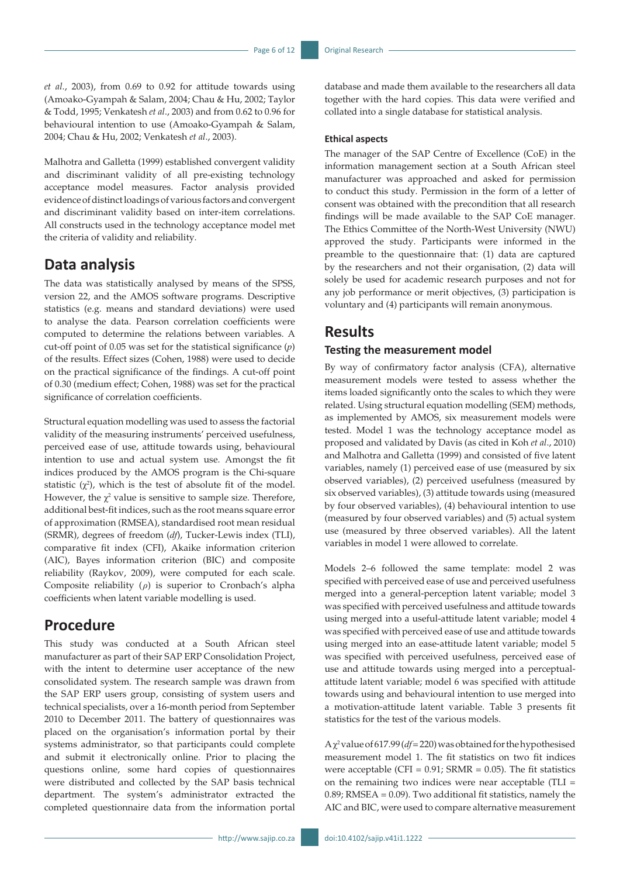*et al*., 2003), from 0.69 to 0.92 for attitude towards using (Amoako-Gyampah & Salam, 2004; Chau & Hu, 2002; Taylor & Todd, 1995; Venkatesh *et al*., 2003) and from 0.62 to 0.96 for behavioural intention to use (Amoako-Gyampah & Salam, 2004; Chau & Hu, 2002; Venkatesh *et al*., 2003).

Malhotra and Galletta (1999) established convergent validity and discriminant validity of all pre-existing technology acceptance model measures. Factor analysis provided evidence of distinct loadings of various factors and convergent and discriminant validity based on inter-item correlations. All constructs used in the technology acceptance model met the criteria of validity and reliability.

## **Data analysis**

The data was statistically analysed by means of the SPSS, version 22, and the AMOS software programs. Descriptive statistics (e.g. means and standard deviations) were used to analyse the data. Pearson correlation coefficients were computed to determine the relations between variables. A cut-off point of 0.05 was set for the statistical significance (*p*) of the results. Effect sizes (Cohen, 1988) were used to decide on the practical significance of the findings. A cut-off point of 0.30 (medium effect; Cohen, 1988) was set for the practical significance of correlation coefficients.

Structural equation modelling was used to assess the factorial validity of the measuring instruments' perceived usefulness, perceived ease of use, attitude towards using, behavioural intention to use and actual system use. Amongst the fit indices produced by the AMOS program is the Chi-square statistic  $(\chi^2)$ , which is the test of absolute fit of the model. However, the  $\chi^2$  value is sensitive to sample size. Therefore, additional best-fit indices, such as the root means square error of approximation (RMSEA), standardised root mean residual (SRMR), degrees of freedom (*df*), Tucker-Lewis index (TLI), comparative fit index (CFI), Akaike information criterion (AIC), Bayes information criterion (BIC) and composite reliability (Raykov, 2009), were computed for each scale. Composite reliability (ρ) is superior to Cronbach's alpha coefficients when latent variable modelling is used.

# **Procedure**

This study was conducted at a South African steel manufacturer as part of their SAP ERP Consolidation Project, with the intent to determine user acceptance of the new consolidated system. The research sample was drawn from the SAP ERP users group, consisting of system users and technical specialists, over a 16-month period from September 2010 to December 2011. The battery of questionnaires was placed on the organisation's information portal by their systems administrator, so that participants could complete and submit it electronically online. Prior to placing the questions online, some hard copies of questionnaires were distributed and collected by the SAP basis technical department. The system's administrator extracted the completed questionnaire data from the information portal

database and made them available to the researchers all data together with the hard copies. This data were verified and collated into a single database for statistical analysis.

#### **Ethical aspects**

The manager of the SAP Centre of Excellence (CoE) in the information management section at a South African steel manufacturer was approached and asked for permission to conduct this study. Permission in the form of a letter of consent was obtained with the precondition that all research findings will be made available to the SAP CoE manager. The Ethics Committee of the North-West University (NWU) approved the study. Participants were informed in the preamble to the questionnaire that: (1) data are captured by the researchers and not their organisation, (2) data will solely be used for academic research purposes and not for any job performance or merit objectives, (3) participation is voluntary and (4) participants will remain anonymous.

### **Results**

### **Testing the measurement model**

By way of confirmatory factor analysis (CFA), alternative measurement models were tested to assess whether the items loaded significantly onto the scales to which they were related. Using structural equation modelling (SEM) methods, as implemented by AMOS, six measurement models were tested. Model 1 was the technology acceptance model as proposed and validated by Davis (as cited in Koh *et al*., 2010) and Malhotra and Galletta (1999) and consisted of five latent variables, namely (1) perceived ease of use (measured by six observed variables), (2) perceived usefulness (measured by six observed variables), (3) attitude towards using (measured by four observed variables), (4) behavioural intention to use (measured by four observed variables) and (5) actual system use (measured by three observed variables). All the latent variables in model 1 were allowed to correlate.

Models 2–6 followed the same template: model 2 was specified with perceived ease of use and perceived usefulness merged into a general-perception latent variable; model 3 was specified with perceived usefulness and attitude towards using merged into a useful-attitude latent variable; model 4 was specified with perceived ease of use and attitude towards using merged into an ease-attitude latent variable; model 5 was specified with perceived usefulness, perceived ease of use and attitude towards using merged into a perceptualattitude latent variable; model 6 was specified with attitude towards using and behavioural intention to use merged into a motivation-attitude latent variable. Table 3 presents fit statistics for the test of the various models.

A χ<sup>2</sup> value of 617.99 (*df* = 220) was obtained for the hypothesised measurement model 1. The fit statistics on two fit indices were acceptable (CFI =  $0.91$ ; SRMR =  $0.05$ ). The fit statistics on the remaining two indices were near acceptable (TLI = 0.89; RMSEA = 0.09). Two additional fit statistics, namely the AIC and BIC, were used to compare alternative measurement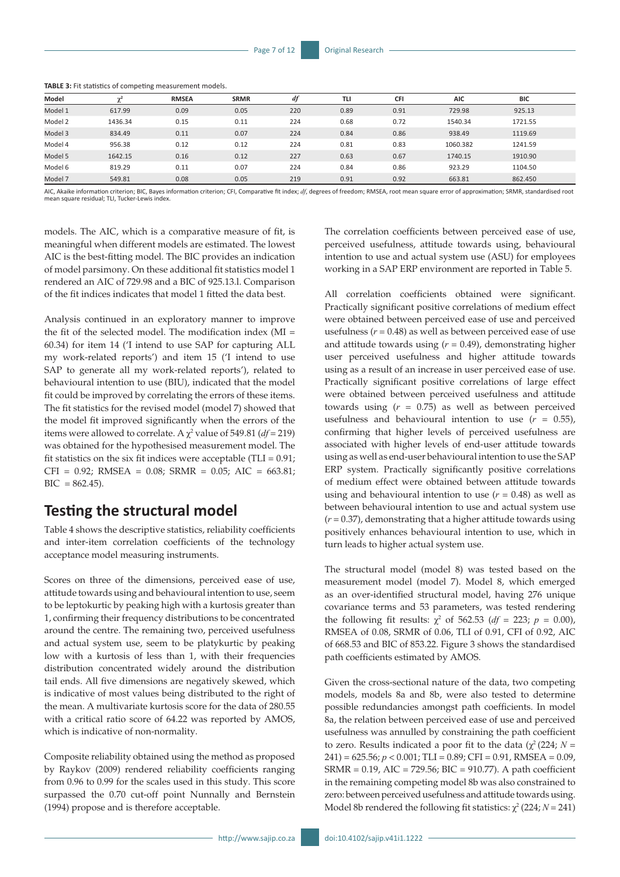| Model   | $\sim$ <sup>2</sup> | <b>RMSEA</b> | <b>SRMR</b> | df  | TLI  | <b>CFI</b> | <b>AIC</b> | <b>BIC</b> |  |
|---------|---------------------|--------------|-------------|-----|------|------------|------------|------------|--|
| Model 1 | 617.99              | 0.09         | 0.05        | 220 | 0.89 | 0.91       | 729.98     | 925.13     |  |
| Model 2 | 1436.34             | 0.15         | 0.11        | 224 | 0.68 | 0.72       | 1540.34    | 1721.55    |  |
| Model 3 | 834.49              | 0.11         | 0.07        | 224 | 0.84 | 0.86       | 938.49     | 1119.69    |  |
| Model 4 | 956.38              | 0.12         | 0.12        | 224 | 0.81 | 0.83       | 1060.382   | 1241.59    |  |
| Model 5 | 1642.15             | 0.16         | 0.12        | 227 | 0.63 | 0.67       | 1740.15    | 1910.90    |  |
| Model 6 | 819.29              | 0.11         | 0.07        | 224 | 0.84 | 0.86       | 923.29     | 1104.50    |  |
| Model 7 | 549.81              | 0.08         | 0.05        | 219 | 0.91 | 0.92       | 663.81     | 862.450    |  |

**TABLE 3:** Fit statistics of competing measurement models.

AIC, Akaike information criterion; BIC, Bayes information criterion; CFI, Comparative fit index; *df*, degrees of freedom; RMSEA, root mean square error of approximation; SRMR, standardised root mean square residual: TLI, Tucker-Lewis in

models. The AIC, which is a comparative measure of fit, is meaningful when different models are estimated. The lowest AIC is the best-fitting model. The BIC provides an indication of model parsimony. On these additional fit statistics model 1 rendered an AIC of 729.98 and a BIC of 925.13.l. Comparison of the fit indices indicates that model 1 fitted the data best.

Analysis continued in an exploratory manner to improve the fit of the selected model. The modification index (MI = 60.34) for item 14 ('I intend to use SAP for capturing ALL my work-related reports') and item 15 ('I intend to use SAP to generate all my work-related reports'), related to behavioural intention to use (BIU), indicated that the model fit could be improved by correlating the errors of these items. The fit statistics for the revised model (model 7) showed that the model fit improved significantly when the errors of the items were allowed to correlate. A  $\chi^2$  value of 549.81 (*df* = 219) was obtained for the hypothesised measurement model. The fit statistics on the six fit indices were acceptable (TLI =  $0.91$ ;  $CFI = 0.92$ ; RMSEA = 0.08; SRMR = 0.05; AIC = 663.81;  $BIC = 862.45$ .

## **Testing the structural model**

Table 4 shows the descriptive statistics, reliability coefficients and inter-item correlation coefficients of the technology acceptance model measuring instruments.

Scores on three of the dimensions, perceived ease of use, attitude towards using and behavioural intention to use, seem to be leptokurtic by peaking high with a kurtosis greater than 1, confirming their frequency distributions to be concentrated around the centre. The remaining two, perceived usefulness and actual system use, seem to be platykurtic by peaking low with a kurtosis of less than 1, with their frequencies distribution concentrated widely around the distribution tail ends. All five dimensions are negatively skewed, which is indicative of most values being distributed to the right of the mean. A multivariate kurtosis score for the data of 280.55 with a critical ratio score of 64.22 was reported by AMOS, which is indicative of non-normality.

Composite reliability obtained using the method as proposed by Raykov (2009) rendered reliability coefficients ranging from 0.96 to 0.99 for the scales used in this study. This score surpassed the 0.70 cut-off point Nunnally and Bernstein (1994) propose and is therefore acceptable.

The correlation coefficients between perceived ease of use, perceived usefulness, attitude towards using, behavioural intention to use and actual system use (ASU) for employees working in a SAP ERP environment are reported in Table 5.

All correlation coefficients obtained were significant. Practically significant positive correlations of medium effect were obtained between perceived ease of use and perceived usefulness  $(r = 0.48)$  as well as between perceived ease of use and attitude towards using  $(r = 0.49)$ , demonstrating higher user perceived usefulness and higher attitude towards using as a result of an increase in user perceived ease of use. Practically significant positive correlations of large effect were obtained between perceived usefulness and attitude towards using  $(r = 0.75)$  as well as between perceived usefulness and behavioural intention to use  $(r = 0.55)$ , confirming that higher levels of perceived usefulness are associated with higher levels of end-user attitude towards using as well as end-user behavioural intention to use the SAP ERP system. Practically significantly positive correlations of medium effect were obtained between attitude towards using and behavioural intention to use  $(r = 0.48)$  as well as between behavioural intention to use and actual system use (*r* = 0.37), demonstrating that a higher attitude towards using positively enhances behavioural intention to use, which in turn leads to higher actual system use.

The structural model (model 8) was tested based on the measurement model (model 7). Model 8, which emerged as an over-identified structural model, having 276 unique covariance terms and 53 parameters, was tested rendering the following fit results:  $\chi^2$  of 562.53 (*df* = 223; *p* = 0.00), RMSEA of 0.08, SRMR of 0.06, TLI of 0.91, CFI of 0.92, AIC of 668.53 and BIC of 853.22. Figure 3 shows the standardised path coefficients estimated by AMOS.

Given the cross-sectional nature of the data, two competing models, models 8a and 8b, were also tested to determine possible redundancies amongst path coefficients. In model 8a, the relation between perceived ease of use and perceived usefulness was annulled by constraining the path coefficient to zero. Results indicated a poor fit to the data ( $χ²$  (224; *N* = 241) = 625.56; *p* < 0.001; TLI = 0.89; CFI = 0.91, RMSEA = 0.09, SRMR = 0.19, AIC = 729.56; BIC = 910.77). A path coefficient in the remaining competing model 8b was also constrained to zero: between perceived usefulness and attitude towards using. Model 8b rendered the following fit statistics:  $\chi^2$  (224;  $N = 241$ )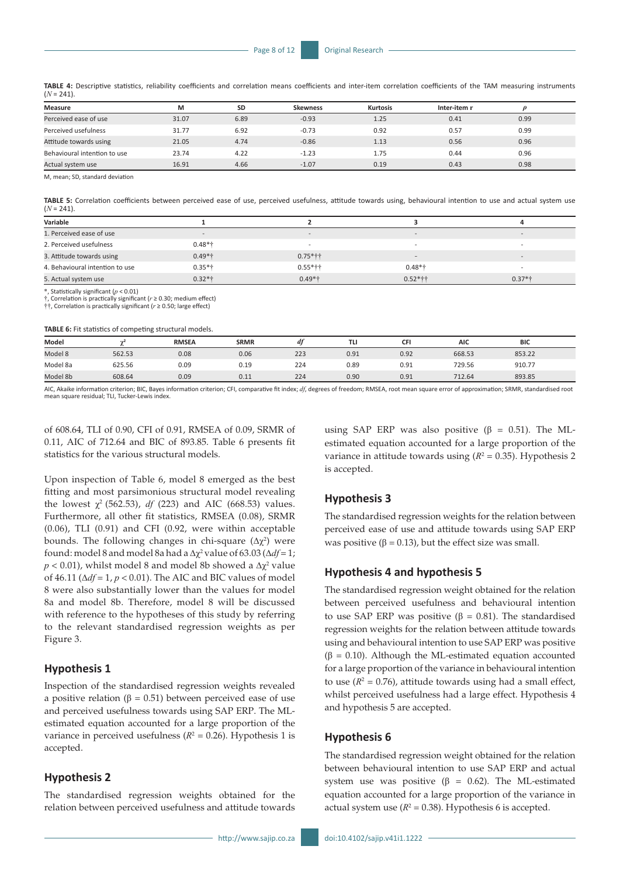**TABLE 4:** Descriptive statistics, reliability coefficients and correlation means coefficients and inter-item correlation coefficients of the TAM measuring instruments  $(N = 241)$ .

| Measure                      | M     | <b>SD</b> | <b>Skewness</b> | <b>Kurtosis</b> | Inter-item r |      |  |
|------------------------------|-------|-----------|-----------------|-----------------|--------------|------|--|
| Perceived ease of use        | 31.07 | 6.89      | $-0.93$         | 1.25            | 0.41         | 0.99 |  |
| Perceived usefulness         | 31.77 | 6.92      | $-0.73$         | 0.92            | 0.57         | 0.99 |  |
| Attitude towards using       | 21.05 | 4.74      | $-0.86$         | 1.13            | 0.56         | 0.96 |  |
| Behavioural intention to use | 23.74 | 4.22      | $-1.23$         | 1.75            | 0.44         | 0.96 |  |
| Actual system use            | 16.91 | 4.66      | $-1.07$         | 0.19            | 0.43         | 0.98 |  |
|                              |       |           |                 |                 |              |      |  |

M, mean; SD, standard deviation

**TABLE 5:** Correlation coefficients between perceived ease of use, perceived usefulness, attitude towards using, behavioural intention to use and actual system use  $(N = 241)$ .

| Variable                        |                          |                          |                          |                          |
|---------------------------------|--------------------------|--------------------------|--------------------------|--------------------------|
| 1. Perceived ease of use        | $\overline{\phantom{a}}$ | $\overline{\phantom{0}}$ | $\overline{\phantom{a}}$ | $\overline{\phantom{a}}$ |
| 2. Perceived usefulness         | $0.48*+$                 |                          |                          |                          |
| 3. Attitude towards using       | $0.49*$ †                | $0.75*††$                | $\qquad \qquad =$        |                          |
| 4. Behavioural intention to use | $0.35*†$                 | $0.55*+$                 | $0.48*$ †                |                          |
| 5. Actual system use            | $0.32*+$                 | $0.49*$ †                | $0.52*+$                 | $0.37*$ †                |

\*, Statistically significant (*p* < 0.01)

†, Correlation is practically significant (*r* ≥ 0.30; medium effect) ††, Correlation is practically significant (*r* ≥ 0.50; large effect)

**TABLE 6:** Fit statistics of competing structural models.

| Model    |        | <b>RMSEA</b> | <b>SRMR</b> | df  | TLI  | CFI  | <b>AIC</b> | <b>BIC</b> |  |
|----------|--------|--------------|-------------|-----|------|------|------------|------------|--|
| Model 8  | 562.53 | 0.08         | 0.06        | 223 | 0.91 | 0.92 | 668.53     | 853.22     |  |
| Model 8a | 625.56 | 0.09         | 0.19        | 224 | 0.89 | 0.91 | 729.56     | 910.77     |  |
| Model 8b | 608.64 | 0.09         | 0.11        | 224 | 0.90 | 0.91 | 712.64     | 893.85     |  |

AIC, Akaike information criterion; BIC, Bayes information criterion; CFI, comparative fit index; *df*, degrees of freedom; RMSEA, root mean square error of approximation; SRMR, standardised root mean square residual: TLI, Tucker-Lewis index.

of 608.64, TLI of 0.90, CFI of 0.91, RMSEA of 0.09, SRMR of 0.11, AIC of 712.64 and BIC of 893.85. Table 6 presents fit statistics for the various structural models.

Upon inspection of Table 6, model 8 emerged as the best fitting and most parsimonious structural model revealing the lowest  $\chi^2$  (562.53), *df* (223) and AIC (668.53) values. Furthermore, all other fit statistics, RMSEA (0.08), SRMR (0.06), TLI (0.91) and CFI (0.92, were within acceptable bounds. The following changes in chi-square  $(\Delta \chi^2)$  were found: model 8 and model 8a had a  $\Delta \chi^2$  value of 63.03 ( $\Delta df = 1$ ;  $p < 0.01$ ), whilst model 8 and model 8b showed a  $\Delta \chi^2$  value of 46.11 ( $\Delta df = 1$ ,  $p < 0.01$ ). The AIC and BIC values of model 8 were also substantially lower than the values for model 8a and model 8b. Therefore, model 8 will be discussed with reference to the hypotheses of this study by referring to the relevant standardised regression weights as per Figure 3.

#### **Hypothesis 1**

Inspection of the standardised regression weights revealed a positive relation ( $β = 0.51$ ) between perceived ease of use and perceived usefulness towards using SAP ERP. The MLestimated equation accounted for a large proportion of the variance in perceived usefulness  $(R^2 = 0.26)$ . Hypothesis 1 is accepted.

### **Hypothesis 2**

The standardised regression weights obtained for the relation between perceived usefulness and attitude towards

using SAP ERP was also positive ( $β = 0.51$ ). The MLestimated equation accounted for a large proportion of the variance in attitude towards using  $(R^2 = 0.35)$ . Hypothesis 2 is accepted.

### **Hypothesis 3**

The standardised regression weights for the relation between perceived ease of use and attitude towards using SAP ERP was positive ( $\beta$  = 0.13), but the effect size was small.

### **Hypothesis 4 and hypothesis 5**

The standardised regression weight obtained for the relation between perceived usefulness and behavioural intention to use SAP ERP was positive ( $β = 0.81$ ). The standardised regression weights for the relation between attitude towards using and behavioural intention to use SAP ERP was positive ( $\beta$  = 0.10). Although the ML-estimated equation accounted for a large proportion of the variance in behavioural intention to use  $(R^2 = 0.76)$ , attitude towards using had a small effect, whilst perceived usefulness had a large effect. Hypothesis 4 and hypothesis 5 are accepted.

### **Hypothesis 6**

The standardised regression weight obtained for the relation between behavioural intention to use SAP ERP and actual system use was positive ( $β = 0.62$ ). The ML-estimated equation accounted for a large proportion of the variance in actual system use  $(R^2 = 0.38)$ . Hypothesis 6 is accepted.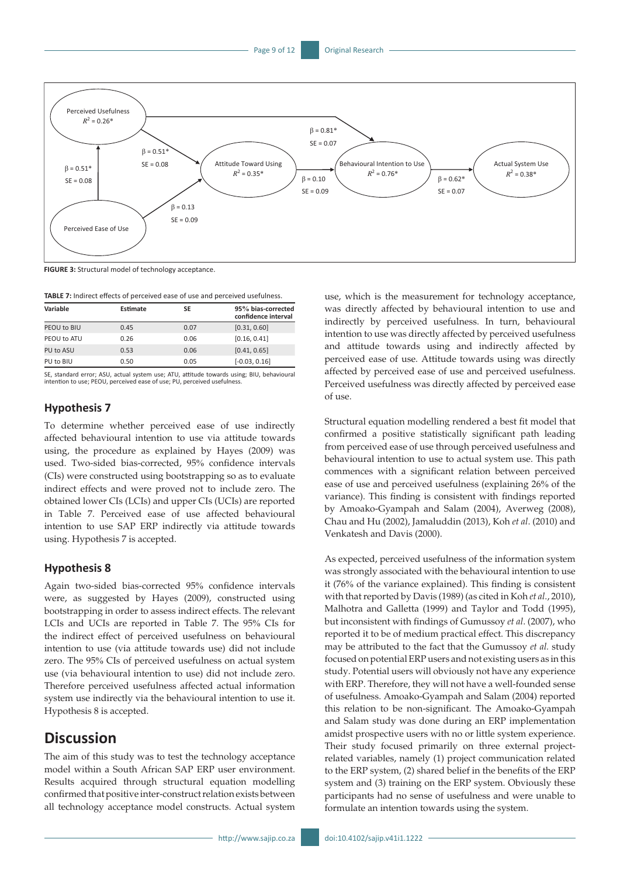

**FIGURE 3:** Structural model of technology acceptance.

| Variable    | Estimate | SE   | 95% bias-corrected<br>confidence interval |
|-------------|----------|------|-------------------------------------------|
| PEOU to BIU | 0.45     | 0.07 | [0.31, 0.60]                              |
| PEOU to ATU | 0.26     | 0.06 | [0.16, 0.41]                              |
| PU to ASU   | 0.53     | 0.06 | [0.41, 0.65]                              |
| PU to BIU   | 0.50     | 0.05 | $[-0.03, 0.16]$                           |

**TABLE 7:** Indirect effects of perceived ease of use and perceived usefulness.

SE, standard error; ASU, actual system use; ATU, attitude towards using; BIU, behavioural intention to use; PEOU, perceived ease of use; PU, perceived usefulness.

### **Hypothesis 7**

To determine whether perceived ease of use indirectly affected behavioural intention to use via attitude towards using, the procedure as explained by Hayes (2009) was used. Two-sided bias-corrected, 95% confidence intervals (CIs) were constructed using bootstrapping so as to evaluate indirect effects and were proved not to include zero. The obtained lower CIs (LCIs) and upper CIs (UCIs) are reported in Table 7. Perceived ease of use affected behavioural intention to use SAP ERP indirectly via attitude towards using. Hypothesis 7 is accepted.

### **Hypothesis 8**

Again two-sided bias-corrected 95% confidence intervals were, as suggested by Hayes (2009), constructed using bootstrapping in order to assess indirect effects. The relevant LCIs and UCIs are reported in Table 7. The 95% CIs for the indirect effect of perceived usefulness on behavioural intention to use (via attitude towards use) did not include zero. The 95% CIs of perceived usefulness on actual system use (via behavioural intention to use) did not include zero. Therefore perceived usefulness affected actual information system use indirectly via the behavioural intention to use it. Hypothesis 8 is accepted.

## **Discussion**

The aim of this study was to test the technology acceptance model within a South African SAP ERP user environment. Results acquired through structural equation modelling confirmed that positive inter-construct relation exists between all technology acceptance model constructs. Actual system use, which is the measurement for technology acceptance, was directly affected by behavioural intention to use and indirectly by perceived usefulness. In turn, behavioural intention to use was directly affected by perceived usefulness and attitude towards using and indirectly affected by perceived ease of use. Attitude towards using was directly affected by perceived ease of use and perceived usefulness. Perceived usefulness was directly affected by perceived ease of use.

Structural equation modelling rendered a best fit model that confirmed a positive statistically significant path leading from perceived ease of use through perceived usefulness and behavioural intention to use to actual system use. This path commences with a significant relation between perceived ease of use and perceived usefulness (explaining 26% of the variance). This finding is consistent with findings reported by Amoako-Gyampah and Salam (2004), Averweg (2008), Chau and Hu (2002), Jamaluddin (2013), Koh *et al*. (2010) and Venkatesh and Davis (2000).

As expected, perceived usefulness of the information system was strongly associated with the behavioural intention to use it (76% of the variance explained). This finding is consistent with that reported by Davis (1989) (as cited in Koh *et al*., 2010), Malhotra and Galletta (1999) and Taylor and Todd (1995), but inconsistent with findings of Gumussoy *et al*. (2007), who reported it to be of medium practical effect. This discrepancy may be attributed to the fact that the Gumussoy *et al.* study focused on potential ERP users and not existing users as in this study. Potential users will obviously not have any experience with ERP. Therefore, they will not have a well-founded sense of usefulness. Amoako-Gyampah and Salam (2004) reported this relation to be non-significant. The Amoako-Gyampah and Salam study was done during an ERP implementation amidst prospective users with no or little system experience. Their study focused primarily on three external projectrelated variables, namely (1) project communication related to the ERP system, (2) shared belief in the benefits of the ERP system and (3) training on the ERP system. Obviously these participants had no sense of usefulness and were unable to formulate an intention towards using the system.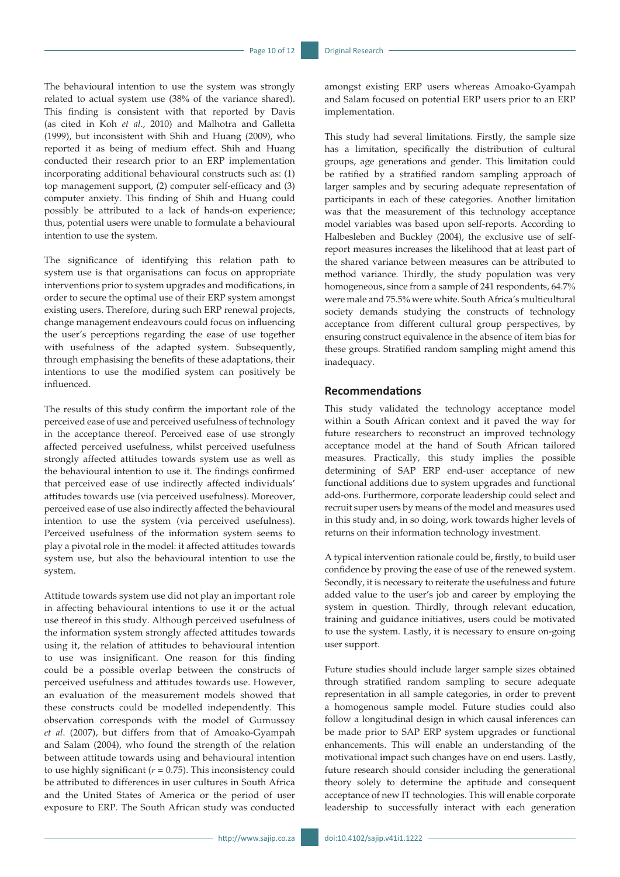The behavioural intention to use the system was strongly related to actual system use (38% of the variance shared). This finding is consistent with that reported by Davis (as cited in Koh *et al*., 2010) and Malhotra and Galletta (1999), but inconsistent with Shih and Huang (2009), who reported it as being of medium effect. Shih and Huang conducted their research prior to an ERP implementation incorporating additional behavioural constructs such as: (1) top management support, (2) computer self-efficacy and (3) computer anxiety. This finding of Shih and Huang could possibly be attributed to a lack of hands-on experience; thus, potential users were unable to formulate a behavioural intention to use the system.

The significance of identifying this relation path to system use is that organisations can focus on appropriate interventions prior to system upgrades and modifications, in order to secure the optimal use of their ERP system amongst existing users. Therefore, during such ERP renewal projects, change management endeavours could focus on influencing the user's perceptions regarding the ease of use together with usefulness of the adapted system. Subsequently, through emphasising the benefits of these adaptations, their intentions to use the modified system can positively be influenced.

The results of this study confirm the important role of the perceived ease of use and perceived usefulness of technology in the acceptance thereof. Perceived ease of use strongly affected perceived usefulness, whilst perceived usefulness strongly affected attitudes towards system use as well as the behavioural intention to use it. The findings confirmed that perceived ease of use indirectly affected individuals' attitudes towards use (via perceived usefulness). Moreover, perceived ease of use also indirectly affected the behavioural intention to use the system (via perceived usefulness). Perceived usefulness of the information system seems to play a pivotal role in the model: it affected attitudes towards system use, but also the behavioural intention to use the system.

Attitude towards system use did not play an important role in affecting behavioural intentions to use it or the actual use thereof in this study. Although perceived usefulness of the information system strongly affected attitudes towards using it, the relation of attitudes to behavioural intention to use was insignificant. One reason for this finding could be a possible overlap between the constructs of perceived usefulness and attitudes towards use. However, an evaluation of the measurement models showed that these constructs could be modelled independently. This observation corresponds with the model of Gumussoy *et al*. (2007), but differs from that of Amoako-Gyampah and Salam (2004), who found the strength of the relation between attitude towards using and behavioural intention to use highly significant (*r =* 0.75). This inconsistency could be attributed to differences in user cultures in South Africa and the United States of America or the period of user exposure to ERP. The South African study was conducted amongst existing ERP users whereas Amoako-Gyampah and Salam focused on potential ERP users prior to an ERP implementation.

This study had several limitations. Firstly, the sample size has a limitation, specifically the distribution of cultural groups, age generations and gender. This limitation could be ratified by a stratified random sampling approach of larger samples and by securing adequate representation of participants in each of these categories. Another limitation was that the measurement of this technology acceptance model variables was based upon self-reports. According to Halbesleben and Buckley (2004), the exclusive use of selfreport measures increases the likelihood that at least part of the shared variance between measures can be attributed to method variance. Thirdly, the study population was very homogeneous, since from a sample of 241 respondents, 64.7% were male and 75.5% were white. South Africa's multicultural society demands studying the constructs of technology acceptance from different cultural group perspectives, by ensuring construct equivalence in the absence of item bias for these groups. Stratified random sampling might amend this inadequacy.

### **Recommendations**

This study validated the technology acceptance model within a South African context and it paved the way for future researchers to reconstruct an improved technology acceptance model at the hand of South African tailored measures. Practically, this study implies the possible determining of SAP ERP end-user acceptance of new functional additions due to system upgrades and functional add-ons. Furthermore, corporate leadership could select and recruit super users by means of the model and measures used in this study and, in so doing, work towards higher levels of returns on their information technology investment.

A typical intervention rationale could be, firstly, to build user confidence by proving the ease of use of the renewed system. Secondly, it is necessary to reiterate the usefulness and future added value to the user's job and career by employing the system in question. Thirdly, through relevant education, training and guidance initiatives, users could be motivated to use the system. Lastly, it is necessary to ensure on-going user support.

Future studies should include larger sample sizes obtained through stratified random sampling to secure adequate representation in all sample categories, in order to prevent a homogenous sample model. Future studies could also follow a longitudinal design in which causal inferences can be made prior to SAP ERP system upgrades or functional enhancements. This will enable an understanding of the motivational impact such changes have on end users. Lastly, future research should consider including the generational theory solely to determine the aptitude and consequent acceptance of new IT technologies. This will enable corporate leadership to successfully interact with each generation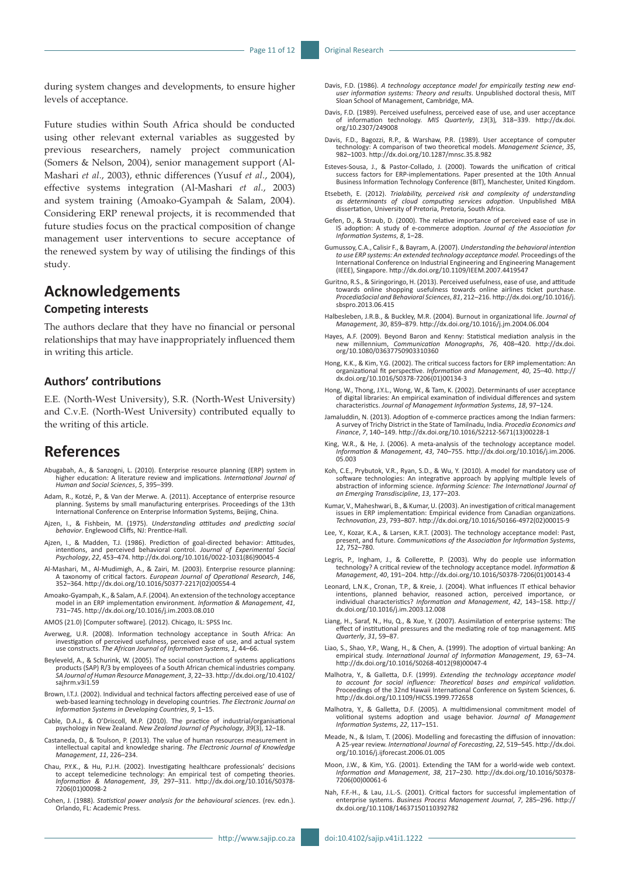during system changes and developments, to ensure higher levels of acceptance.

Future studies within South Africa should be conducted using other relevant external variables as suggested by previous researchers, namely project communication (Somers & Nelson, 2004), senior management support (Al-Mashari *et al*., 2003), ethnic differences (Yusuf *et al*., 2004), effective systems integration (Al-Mashari *et al*., 2003) and system training (Amoako-Gyampah & Salam, 2004). Considering ERP renewal projects, it is recommended that future studies focus on the practical composition of change management user interventions to secure acceptance of the renewed system by way of utilising the findings of this study.

# **Acknowledgements**

### **Competing interests**

The authors declare that they have no financial or personal relationships that may have inappropriately influenced them in writing this article.

### **Authors' contributions**

E.E. (North-West University), S.R. (North-West University) and C.v.E. (North-West University) contributed equally to the writing of this article.

### **References**

- Abugabah, A., & Sanzogni, L. (2010). Enterprise resource planning (ERP) system in higher education: A literature review and implications. *International Journal of Human and Social Sciences*, *5*, 395–399.
- Adam, R., Kotzé, P., & Van der Merwe. A. (2011). Acceptance of enterprise resource planning. Systems by small manufacturing enterprises. Proceedings of the 13th International Conference on Enterprise Information Systems, Beijing, China.
- Ajzen, I., & Fishbein, M. (1975). *Understanding attitudes and predicting social behavior*. Englewood Cliffs, NJ: Prentice-Hall.
- Ajzen, I., & Madden, T.J. (1986). Prediction of goal-directed behavior: Attitudes, intentions, and perceived behavioral control. *Journal of Experimental Social Psychology*, *22*, 453–474. [http://dx.doi.org/10.1016/0022-1031\(86\)90045-4](http://dx.doi.org/10.1016/0022-1031(86)90045-4)
- Al-Mashari, M., Al-Mudimigh, A., & Zairi, M. (2003). Enterprise resource planning: A taxonomy of critical factors. *European Journal of Operational Research*, *146*, 352–364. [http://dx.doi.org/10.1016/S0377-2217\(02\)00554-4](http://dx.doi.org/10.1016/S0377-2217(02)00554-4)
- Amoako-Gyampah, K., & Salam, A.F. (2004). An extension of the technology acceptance model in an ERP implementation environment. *Information & Management*, *41*, 731–745. <http://dx.doi.org/10.1016/j.im.2003.08.010>
- AMOS (21.0) [Computer software]*.* (2012). Chicago, IL: SPSS Inc.
- Averweg, U.R. (2008). Information technology acceptance in South Africa: An investigation of perceived usefulness, perceived ease of use, and actual system use constructs. *The African Journal of Information Systems*, *1*, 44–66.
- Beyleveld, A., & Schurink, W. (2005). The social construction of systems applications products (SAP) R/3 by employees of a South African chemical industries company. *SA Journal of Human Resource Management*, *3*, 22–33. [http://dx.doi.org/10.4102/](http://dx.doi.org/10.4102/sajhrm.v3i1.59) [sajhrm.v3i1.59](http://dx.doi.org/10.4102/sajhrm.v3i1.59)
- Brown, I.T.J. (2002). Individual and technical factors affecting perceived ease of use of web-based learning technology in developing countries. *The Electronic Journal on Information Systems in Developing Countries*, *9*, 1–15.
- Cable, D.A.J., & O'Driscoll, M.P. (2010). The practice of industrial/organisational psychology in New Zealand. *New Zealand Journal of Psychology*, *39*(3), 12–18.
- Castaneda, D., & Toulson, P. (2013). The value of human resources measurement in intellectual capital and knowledge sharing. *The Electronic Journal of Knowledge Management*, *11*, 226–234.
- Chau, P.Y.K., & Hu, P.J.H. (2002). Investigating healthcare professionals' decisions<br>to accept telemedicine technology: An empirical test of competing theories.<br>Information & Management, 39, 297-311. http://dx.doi.org/10.1 [7206\(01\)00098-2](http://dx.doi.org/10.1016/S0378-7206(01)00098-2)
- Cohen, J. (1988). *Statistical power analysis for the behavioural sciences*. (rev. edn.). Orlando, FL: Academic Press.
- Davis, F.D. (1986). *A technology acceptance model for empirically testing new enduser information systems: Theory and results*. Unpublished doctoral thesis, MIT Sloan School of Management, Cambridge, MA.
- Davis, F.D. (1989). Perceived usefulness, perceived ease of use, and user acceptance of information technology. *MIS Quarterly*, *13*(3)*,* 318–339. [http://dx.doi.](http://dx.doi.org/10.2307/249008) [org/10.2307/249008](http://dx.doi.org/10.2307/249008)
- Davis, F.D., Bagozzi, R.P., & Warshaw, P.R. (1989). User acceptance of computer technology: A comparison of two theoretical models. *Management Science*, *35*, 982–1003.<http://dx.doi.org/10.1287/mnsc.35.8.982>
- Esteves-Sousa, J., & Pastor-Collado, J. (2000). Towards the unification of critical success factors for ERP-implementations. Paper presented at the 10th Annual Business Information Technology Conference (BIT), Manchester, United Kingdom.
- Etsebeth, E. (2012). *Trialability, perceived risk and complexity of understanding as determinants of cloud computing services adoption*. Unpublished MBA dissertation, University of Pretoria, Pretoria, South Africa.
- Gefen, D., & Straub, D. (2000). The relative importance of perceived ease of use in IS adoption: A study of e-commerce adoption. *Journal of the Association for Information Systems*, *8*, 1–28.
- Gumussoy, C.A., Calisir F., & Bayram, A. (2007). *Understanding the behavioral intention*  to use ERP systems: An extended technology acceptance model. Proceedings of the<br>International Conference on Industrial Engineering and Engineering Management<br>(IEEE), Singapore. <http://dx.doi.org/10.1109/IEEM.2007.4419547>
- Guritno, R.S., & Siringoringo, H. (2013). Perceived usefulness, ease of use, and attitude towards online shopping usefulness towards online airlines ticket purchase. *ProcediaSocial and Behavioral Sciences*, *81*, 212–216. [http://dx.doi.org/10.1016/j.](http://dx.doi.org/10.1016/j.sbspro.2013.06.415) shspro. 2013.06.415
- Halbesleben, J.R.B., & Buckley, M.R. (2004). Burnout in organizational life. *Journal of Management*, *30*, 859–879.<http://dx.doi.org/10.1016/j.jm.2004.06.004>
- Hayes, A.F. (2009). Beyond Baron and Kenny: Statistical mediation analysis in the new millennium, *Communication Monographs*, *76*, 408–420. [http://dx.doi.](http://dx.doi.org/10.1080/03637750903310360) [org/10.1080/03637750903310360](http://dx.doi.org/10.1080/03637750903310360)
- Hong, K.K., & Kim, Y.G. (2002). The critical success factors for ERP implementation: An organizational fit perspective. *Information and Management*, *40*, 25–40. [http://](http://dx.doi.org/10.1016/S0378-7206(01)00134-3) [dx.doi.org/10.1016/S0378-7206\(01\)00134-3](http://dx.doi.org/10.1016/S0378-7206(01)00134-3)
- Hong, W., Thong, J.Y.L., Wong, W., & Tam, K. (2002). Determinants of user acceptance<br>of digital libraries: An empirical examination of individual differences and system characteristics. *Journal of Management Information Systems*, *18*, 97–124.
- Jamaluddin, N. (2013). Adoption of e-commerce practices among the Indian farmers: A survey of Trichy District in the State of Tamilnadu, India. *Procedia Economics and Finance*, *7*, 140–149. [http://dx.doi.org/10.1016/S2212-5671\(13\)00228-1](http://dx.doi.org/10.1016/S2212-5671(13)00228-1)
- King, W.R., & He, J. (2006). A meta-analysis of the technology acceptance model. *Information & Management*, *43*, 740–755. [http://dx.doi.org/10.1016/j.im.2006.](http://dx.doi.org/10.1016/j.im.2006.05.003)  [05.003](http://dx.doi.org/10.1016/j.im.2006.05.003)
- Koh, C.E., Prybutok, V.R., Ryan, S.D., & Wu, Y. (2010). A model for mandatory use of software technologies: An integrative approach by applying multiple levels of abstraction of informing science. *Informing Science: The International Journal of an Emerging Transdiscipline*, *13*, 177–203.
- Kumar, V., Maheshwari, B., & Kumar, U. (2003). An investigation of critical management issues in ERP implementation: Empirical evidence from Canadian organizations. *Technovation*, *23*, 793–807. [http://dx.doi.org/10.1016/S0166-4972\(02\)00015-9](http://dx.doi.org/10.1016/S0166-4972(02)00015-9)
- Lee, Y., Kozar, K.A., & Larsen, K.R.T. (2003). The technology acceptance model: Past, present, and future. *Communications of the Association for Information Systems*, *12*, 752–780.
- Legris, P., Ingham, J., & Collerette, P. (2003). Why do people use information technology? A critical review of the technology acceptance model. *Information & Management*, *40*, 191–204. [http://dx.doi.org/10.1016/S0378-7206\(01\)00143-4](http://dx.doi.org/10.1016/S0378-7206(01)00143-4)
- Leonard, L.N.K., Cronan, T.P., & Kreie, J. (2004). What influences IT ethical behavior intentions, planned behavior, reasoned action, perceived importance, or individual characteristics? *Information and Management*, *42*, 143–158. [http://](http://dx.doi.org/10.1016/j.im.2003.12.008) [dx.doi.org/10.1016/j.im.2003.12.008](http://dx.doi.org/10.1016/j.im.2003.12.008)
- Liang, H., Saraf, N., Hu, Q., & Xue, Y. (2007). Assimilation of enterprise systems: The effect of institutional pressures and the mediating role of top management. *MIS Quarterly*, *31*, 59–87.
- Liao, S., Shao, Y.P., Wang, H., & Chen, A. (1999). The adoption of virtual banking: An empirical study. *International Journal of Information Management*, *19*, 63–74. [http://dx.doi.org/10.1016/S0268-4012\(98\)00047-4](http://dx.doi.org/10.1016/S0268-4012(98)00047-4)
- Malhotra, Y., & Galletta, D.F. (1999). *Extending the technology acceptance model to account for social influence: Theoretical bases and empirical validation.*  Proceedings of the 32nd Hawaii International Conference on System Sciences, 6. <http://dx.doi.org/10.1109/HICSS.1999.772658>
- Malhotra, Y., & Galletta, D.F. (2005). A multidimensional commitment model of volitional systems adoption and usage behavior. *Journal of Management Information Systems*, *22*, 117–151.
- Meade, N., & Islam, T. (2006). Modelling and forecasting the diffusion of innovation: A 25-year review. *International Journal of Forecasting*, *22*, 519–545. [http://dx.doi.](http://dx.doi.org/10.1016/j.ijforecast.2006.01.005) [org/10.1016/j.ijforecast.2006.01.005](http://dx.doi.org/10.1016/j.ijforecast.2006.01.005)
- Moon, J.W., & Kim, Y.G. (2001). Extending the TAM for a world-wide web context. *Information and Management*, *38*, 217–230. [http://dx.doi.org/10.1016/S0378-](http://dx.doi.org/10.1016/S0378-7206(00)00061-6) [7206\(00\)00061-6](http://dx.doi.org/10.1016/S0378-7206(00)00061-6)
- Nah, F.F.-H., & Lau, J.L.-S. (2001). Critical factors for successful implementation of enterprise systems. *Business Process Management Journal*, *7*, 285–296. [http://](http://dx.doi.org/10.1108/14637150110392782) [dx.doi.org/10.1108/14637150110392782](http://dx.doi.org/10.1108/14637150110392782)